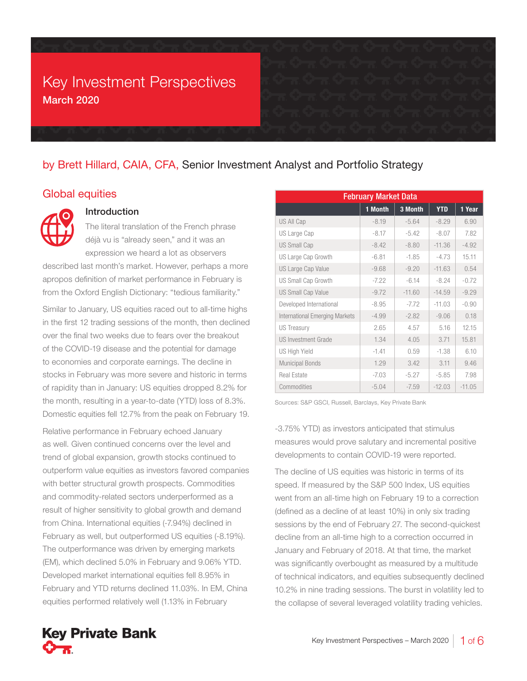## Key Investment Perspectives March 2020

## by Brett Hillard, CAIA, CFA, Senior Investment Analyst and Portfolio Strategy

### Global equities



#### Introduction

The literal translation of the French phrase déjà vu is "already seen," and it was an expression we heard a lot as observers

described last month's market. However, perhaps a more apropos definition of market performance in February is from the Oxford English Dictionary: "tedious familiarity."

Similar to January, US equities raced out to all-time highs in the first 12 trading sessions of the month, then declined over the final two weeks due to fears over the breakout of the COVID-19 disease and the potential for damage to economies and corporate earnings. The decline in stocks in February was more severe and historic in terms of rapidity than in January: US equities dropped 8.2% for the month, resulting in a year-to-date (YTD) loss of 8.3%. Domestic equities fell 12.7% from the peak on February 19.

Relative performance in February echoed January as well. Given continued concerns over the level and trend of global expansion, growth stocks continued to outperform value equities as investors favored companies with better structural growth prospects. Commodities and commodity-related sectors underperformed as a result of higher sensitivity to global growth and demand from China. International equities (-7.94%) declined in February as well, but outperformed US equities (-8.19%). The outperformance was driven by emerging markets (EM), which declined 5.0% in February and 9.06% YTD. Developed market international equities fell 8.95% in February and YTD returns declined 11.03%. In EM, China equities performed relatively well (1.13% in February

| <b>February Market Data</b>           |         |          |            |          |  |
|---------------------------------------|---------|----------|------------|----------|--|
|                                       | 1 Month | 3 Month  | <b>YTD</b> | 1 Year   |  |
| <b>US All Cap</b>                     | $-8.19$ | $-5.64$  | $-8.29$    | 6.90     |  |
| US Large Cap                          | $-8.17$ | $-5.42$  | $-8.07$    | 7.82     |  |
| <b>US Small Cap</b>                   | $-8.42$ | $-8.80$  | $-11.36$   | $-4.92$  |  |
| US Large Cap Growth                   | $-6.81$ | $-1.85$  | $-4.73$    | 15.11    |  |
| <b>US Large Cap Value</b>             | $-9.68$ | $-9.20$  | $-11.63$   | 0.54     |  |
| US Small Cap Growth                   | $-7.22$ | $-6.14$  | $-8.24$    | $-0.72$  |  |
| <b>US Small Cap Value</b>             | $-9.72$ | $-11.60$ | $-14.59$   | $-9.29$  |  |
| Developed International               | $-8.95$ | $-7.72$  | $-11.03$   | $-0.90$  |  |
| <b>International Emerging Markets</b> | $-4.99$ | $-2.82$  | $-9.06$    | 0.18     |  |
| <b>US Treasury</b>                    | 2.65    | 4.57     | 5.16       | 12.15    |  |
| <b>US Investment Grade</b>            | 1.34    | 4.05     | 3.71       | 15.81    |  |
| <b>US High Yield</b>                  | $-1.41$ | 0.59     | $-1.38$    | 6.10     |  |
| <b>Municipal Bonds</b>                | 1.29    | 3.42     | 3.11       | 9.46     |  |
| <b>Real Estate</b>                    | $-7.03$ | $-5.27$  | $-5.85$    | 7.98     |  |
| Commodities                           | $-5.04$ | $-7.59$  | $-12.03$   | $-11.05$ |  |

Sources: S&P GSCI, Russell, Barclays, Key Private Bank

-3.75% YTD) as investors anticipated that stimulus measures would prove salutary and incremental positive developments to contain COVID-19 were reported.

The decline of US equities was historic in terms of its speed. If measured by the S&P 500 Index, US equities went from an all-time high on February 19 to a correction (defined as a decline of at least 10%) in only six trading sessions by the end of February 27. The second-quickest decline from an all-time high to a correction occurred in January and February of 2018. At that time, the market was significantly overbought as measured by a multitude of technical indicators, and equities subsequently declined 10.2% in nine trading sessions. The burst in volatility led to the collapse of several leveraged volatility trading vehicles.

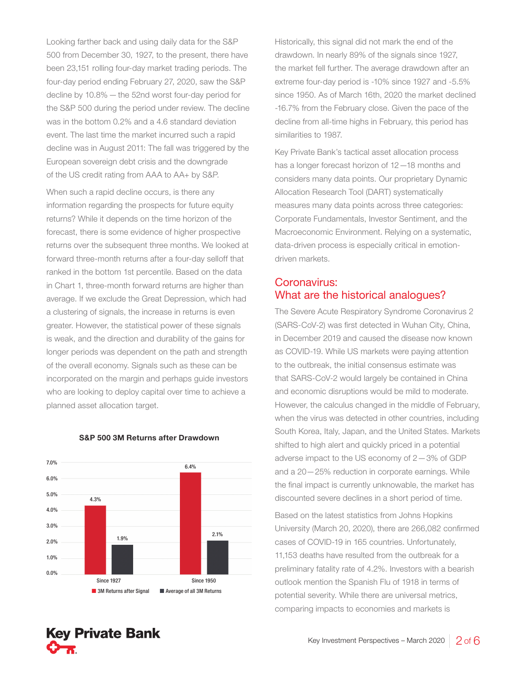Looking farther back and using daily data for the S&P 500 from December 30, 1927, to the present, there have been 23,151 rolling four-day market trading periods. The four-day period ending February 27, 2020, saw the S&P decline by 10.8%—the 52nd worst four-day period for the S&P 500 during the period under review. The decline was in the bottom 0.2% and a 4.6 standard deviation event. The last time the market incurred such a rapid decline was in August 2011: The fall was triggered by the European sovereign debt crisis and the downgrade of the US credit rating from AAA to AA+ by S&P.

When such a rapid decline occurs, is there any information regarding the prospects for future equity returns? While it depends on the time horizon of the forecast, there is some evidence of higher prospective returns over the subsequent three months. We looked at forward three-month returns after a four-day selloff that ranked in the bottom 1st percentile. Based on the data in Chart 1, three-month forward returns are higher than average. If we exclude the Great Depression, which had a clustering of signals, the increase in returns is even greater. However, the statistical power of these signals is weak, and the direction and durability of the gains for longer periods was dependent on the path and strength of the overall economy. Signals such as these can be incorporated on the margin and perhaps guide investors who are looking to deploy capital over time to achieve a planned asset allocation target.



#### S&P 500 3M Returns after Drawdown

Historically, this signal did not mark the end of the drawdown. In nearly 89% of the signals since 1927, the market fell further. The average drawdown after an extreme four-day period is -10% since 1927 and -5.5% since 1950. As of March 16th, 2020 the market declined -16.7% from the February close. Given the pace of the decline from all-time highs in February, this period has similarities to 1987.

Key Private Bank's tactical asset allocation process has a longer forecast horizon of 12—18 months and considers many data points. Our proprietary Dynamic Allocation Research Tool (DART) systematically measures many data points across three categories: Corporate Fundamentals, Investor Sentiment, and the Macroeconomic Environment. Relying on a systematic, data-driven process is especially critical in emotiondriven markets.

## Coronavirus: What are the historical analogues?

The Severe Acute Respiratory Syndrome Coronavirus 2 (SARS-CoV-2) was first detected in Wuhan City, China, in December 2019 and caused the disease now known as COVID-19. While US markets were paying attention to the outbreak, the initial consensus estimate was that SARS-CoV-2 would largely be contained in China and economic disruptions would be mild to moderate. However, the calculus changed in the middle of February, when the virus was detected in other countries, including South Korea, Italy, Japan, and the United States. Markets shifted to high alert and quickly priced in a potential adverse impact to the US economy of 2—3% of GDP and a 20—25% reduction in corporate earnings. While the final impact is currently unknowable, the market has discounted severe declines in a short period of time.

Based on the latest statistics from Johns Hopkins University (March 20, 2020), there are 266,082 confirmed cases of COVID-19 in 165 countries. Unfortunately, 11,153 deaths have resulted from the outbreak for a preliminary fatality rate of 4.2%. Investors with a bearish outlook mention the Spanish Flu of 1918 in terms of potential severity. While there are universal metrics, comparing impacts to economies and markets is

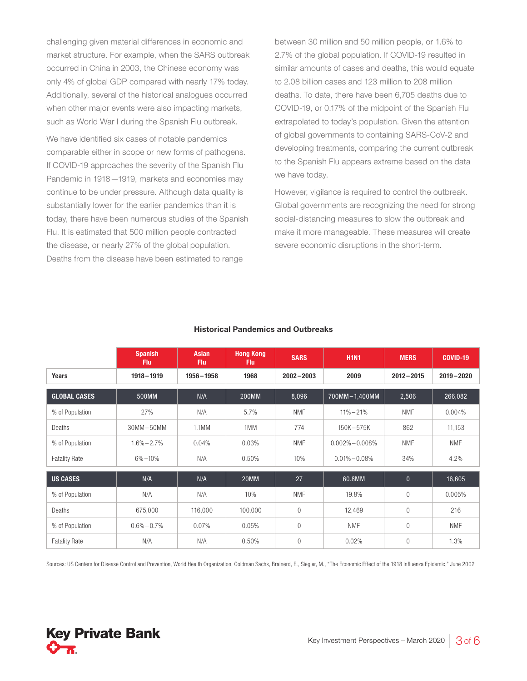challenging given material differences in economic and market structure. For example, when the SARS outbreak occurred in China in 2003, the Chinese economy was only 4% of global GDP compared with nearly 17% today. Additionally, several of the historical analogues occurred when other major events were also impacting markets, such as World War I during the Spanish Flu outbreak.

We have identified six cases of notable pandemics comparable either in scope or new forms of pathogens. If COVID-19 approaches the severity of the Spanish Flu Pandemic in 1918—1919, markets and economies may continue to be under pressure. Although data quality is substantially lower for the earlier pandemics than it is today, there have been numerous studies of the Spanish Flu. It is estimated that 500 million people contracted the disease, or nearly 27% of the global population. Deaths from the disease have been estimated to range

between 30 million and 50 million people, or 1.6% to 2.7% of the global population. If COVID-19 resulted in similar amounts of cases and deaths, this would equate to 2.08 billion cases and 123 million to 208 million deaths. To date, there have been 6,705 deaths due to COVID-19, or 0.17% of the midpoint of the Spanish Flu extrapolated to today's population. Given the attention of global governments to containing SARS-CoV-2 and developing treatments, comparing the current outbreak to the Spanish Flu appears extreme based on the data we have today.

However, vigilance is required to control the outbreak. Global governments are recognizing the need for strong social-distancing measures to slow the outbreak and make it more manageable. These measures will create severe economic disruptions in the short-term.

|                      | <b>Spanish</b><br><b>Flu</b> | <b>Asian</b><br><b>Flu</b> | <b>Hong Kong</b><br><b>Flu</b> | <b>SARS</b>    | <b>H1N1</b>         | <b>MERS</b>    | <b>COVID-19</b> |
|----------------------|------------------------------|----------------------------|--------------------------------|----------------|---------------------|----------------|-----------------|
| <b>Years</b>         | $1918 - 1919$                | $1956 - 1958$              | 1968                           | $2002 - 2003$  | 2009                | $2012 - 2015$  | $2019 - 2020$   |
| <b>GLOBAL CASES</b>  | 500MM                        | N/A                        | <b>200MM</b>                   | 8,096          | 700MM-1,400MM       | 2,506          | 266,082         |
| % of Population      | 27%                          | N/A                        | 5.7%                           | <b>NMF</b>     | $11\% - 21\%$       | <b>NMF</b>     | 0.004%          |
| Deaths               | $30MM - 50MM$                | 1.1MM                      | 1MM                            | 774            | 150K-575K           | 862            | 11,153          |
| % of Population      | $1.6\% - 2.7\%$              | 0.04%                      | 0.03%                          | <b>NMF</b>     | $0.002\% - 0.008\%$ | <b>NMF</b>     | <b>NMF</b>      |
| <b>Fatality Rate</b> | $6\% - 10\%$                 | N/A                        | 0.50%                          | 10%            | $0.01\% - 0.08\%$   | 34%            | 4.2%            |
| <b>US CASES</b>      | N/A                          | N/A                        | 20MM                           | 27             | 60.8MM              | $\mathbf{0}$   | 16,605          |
| % of Population      | N/A                          | N/A                        | 10%                            | <b>NMF</b>     | 19.8%               | $\overline{0}$ | 0.005%          |
| Deaths               | 675,000                      | 116,000                    | 100,000                        | $\mathbf{0}$   | 12,469              | $\overline{0}$ | 216             |
| % of Population      | $0.6\% - 0.7\%$              | 0.07%                      | 0.05%                          | $\overline{0}$ | <b>NMF</b>          | $\overline{0}$ | <b>NMF</b>      |
| <b>Fatality Rate</b> | N/A                          | N/A                        | 0.50%                          | $\Omega$       | 0.02%               | $\theta$       | 1.3%            |

#### Historical Pandemics and Outbreaks

Sources: US Centers for Disease Control and Prevention, World Health Organization, Goldman Sachs, Brainerd, E., Siegler, M., "The Economic Effect of the 1918 Influenza Epidemic," June 2002

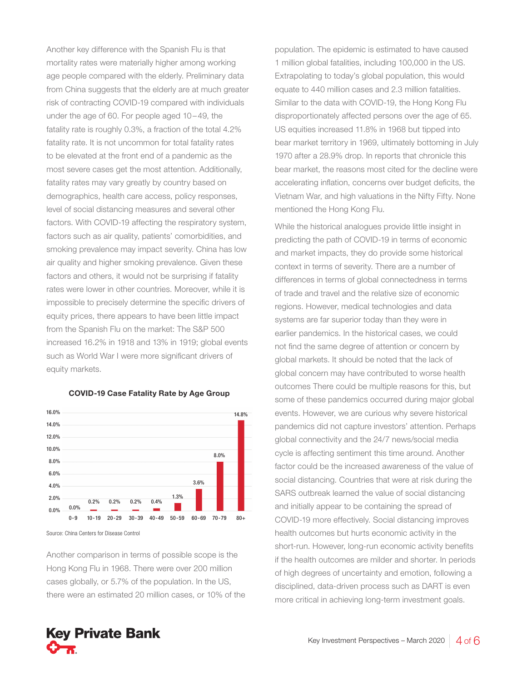Another key difference with the Spanish Flu is that mortality rates were materially higher among working age people compared with the elderly. Preliminary data from China suggests that the elderly are at much greater risk of contracting COVID-19 compared with individuals under the age of 60. For people aged 10–49, the fatality rate is roughly 0.3%, a fraction of the total 4.2% fatality rate. It is not uncommon for total fatality rates to be elevated at the front end of a pandemic as the most severe cases get the most attention. Additionally, fatality rates may vary greatly by country based on demographics, health care access, policy responses, level of social distancing measures and several other factors. With COVID-19 affecting the respiratory system, factors such as air quality, patients' comorbidities, and smoking prevalence may impact severity. China has low air quality and higher smoking prevalence. Given these factors and others, it would not be surprising if fatality rates were lower in other countries. Moreover, while it is impossible to precisely determine the specific drivers of equity prices, there appears to have been little impact from the Spanish Flu on the market: The S&P 500 increased 16.2% in 1918 and 13% in 1919; global events such as World War I were more significant drivers of equity markets.



#### COVID-19 Case Fatality Rate by Age Group

Source: China Centers for Disease Control

Another comparison in terms of possible scope is the Hong Kong Flu in 1968. There were over 200 million cases globally, or 5.7% of the population. In the US, there were an estimated 20 million cases, or 10% of the

population. The epidemic is estimated to have caused 1 million global fatalities, including 100,000 in the US. Extrapolating to today's global population, this would equate to 440 million cases and 2.3 million fatalities. Similar to the data with COVID-19, the Hong Kong Flu disproportionately affected persons over the age of 65. US equities increased 11.8% in 1968 but tipped into bear market territory in 1969, ultimately bottoming in July 1970 after a 28.9% drop. In reports that chronicle this bear market, the reasons most cited for the decline were accelerating inflation, concerns over budget deficits, the Vietnam War, and high valuations in the Nifty Fifty. None mentioned the Hong Kong Flu.

While the historical analogues provide little insight in predicting the path of COVID-19 in terms of economic and market impacts, they do provide some historical context in terms of severity. There are a number of differences in terms of global connectedness in terms of trade and travel and the relative size of economic regions. However, medical technologies and data systems are far superior today than they were in earlier pandemics. In the historical cases, we could not find the same degree of attention or concern by global markets. It should be noted that the lack of global concern may have contributed to worse health outcomes There could be multiple reasons for this, but some of these pandemics occurred during major global events. However, we are curious why severe historical pandemics did not capture investors' attention. Perhaps global connectivity and the 24/7 news/social media cycle is affecting sentiment this time around. Another factor could be the increased awareness of the value of social distancing. Countries that were at risk during the SARS outbreak learned the value of social distancing and initially appear to be containing the spread of COVID-19 more effectively. Social distancing improves health outcomes but hurts economic activity in the short-run. However, long-run economic activity benefits if the health outcomes are milder and shorter. In periods of high degrees of uncertainty and emotion, following a disciplined, data-driven process such as DART is even more critical in achieving long-term investment goals.

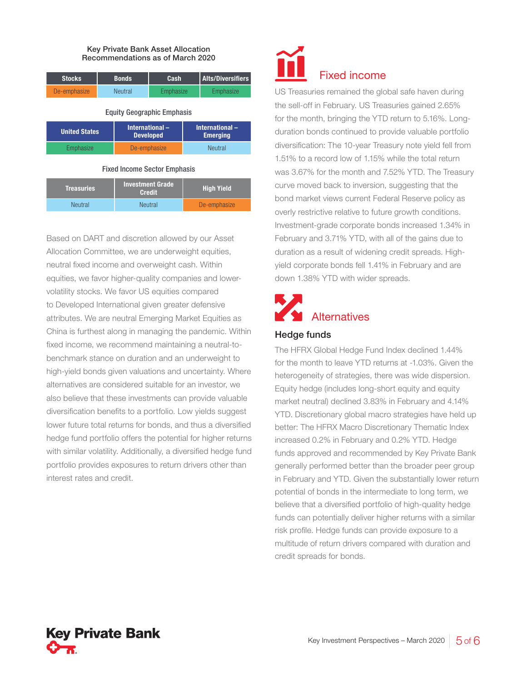#### Key Private Bank Asset Allocation Recommendations as of March 2020

| <b>Stocks</b> | <b>Bonds</b>   | Cash                   | <b>Alts/Diversifiers</b> |
|---------------|----------------|------------------------|--------------------------|
| De-emphasize  | <b>Neutral</b> | Emphasize <sup>®</sup> | Emphasize                |

#### Equity Geographic Emphasis

| <b>United States</b> | International-<br><b>Developed</b> | International-<br><b>Emerging</b> |
|----------------------|------------------------------------|-----------------------------------|
| Emphasize            | De-emphasize                       | <b>Neutral</b>                    |

#### Fixed Income Sector Emphasis

| Treasuries     | <b>Investment Grade</b><br><b>Credit</b> | <b>High Yield</b> |
|----------------|------------------------------------------|-------------------|
| <b>Neutral</b> | <b>Neutral</b>                           | De-emphasize      |

Based on DART and discretion allowed by our Asset Allocation Committee, we are underweight equities, neutral fixed income and overweight cash. Within equities, we favor higher-quality companies and lowervolatility stocks. We favor US equities compared to Developed International given greater defensive attributes. We are neutral Emerging Market Equities as China is furthest along in managing the pandemic. Within fixed income, we recommend maintaining a neutral-tobenchmark stance on duration and an underweight to high-yield bonds given valuations and uncertainty. Where alternatives are considered suitable for an investor, we also believe that these investments can provide valuable diversification benefits to a portfolio. Low yields suggest lower future total returns for bonds, and thus a diversified hedge fund portfolio offers the potential for higher returns with similar volatility. Additionally, a diversified hedge fund portfolio provides exposures to return drivers other than interest rates and credit.

# Fixed income

US Treasuries remained the global safe haven during the sell-off in February. US Treasuries gained 2.65% for the month, bringing the YTD return to 5.16%. Longduration bonds continued to provide valuable portfolio diversification: The 10-year Treasury note yield fell from 1.51% to a record low of 1.15% while the total return was 3.67% for the month and 7.52% YTD. The Treasury curve moved back to inversion, suggesting that the bond market views current Federal Reserve policy as overly restrictive relative to future growth conditions. Investment-grade corporate bonds increased 1.34% in February and 3.71% YTD, with all of the gains due to duration as a result of widening credit spreads. Highyield corporate bonds fell 1.41% in February and are down 1.38% YTD with wider spreads.

## **Alternatives**

#### Hedge funds

The HFRX Global Hedge Fund Index declined 1.44% for the month to leave YTD returns at -1.03%. Given the heterogeneity of strategies, there was wide dispersion. Equity hedge (includes long-short equity and equity market neutral) declined 3.83% in February and 4.14% YTD. Discretionary global macro strategies have held up better: The HFRX Macro Discretionary Thematic Index increased 0.2% in February and 0.2% YTD. Hedge funds approved and recommended by Key Private Bank generally performed better than the broader peer group in February and YTD. Given the substantially lower return potential of bonds in the intermediate to long term, we believe that a diversified portfolio of high-quality hedge funds can potentially deliver higher returns with a similar risk profile. Hedge funds can provide exposure to a multitude of return drivers compared with duration and credit spreads for bonds.